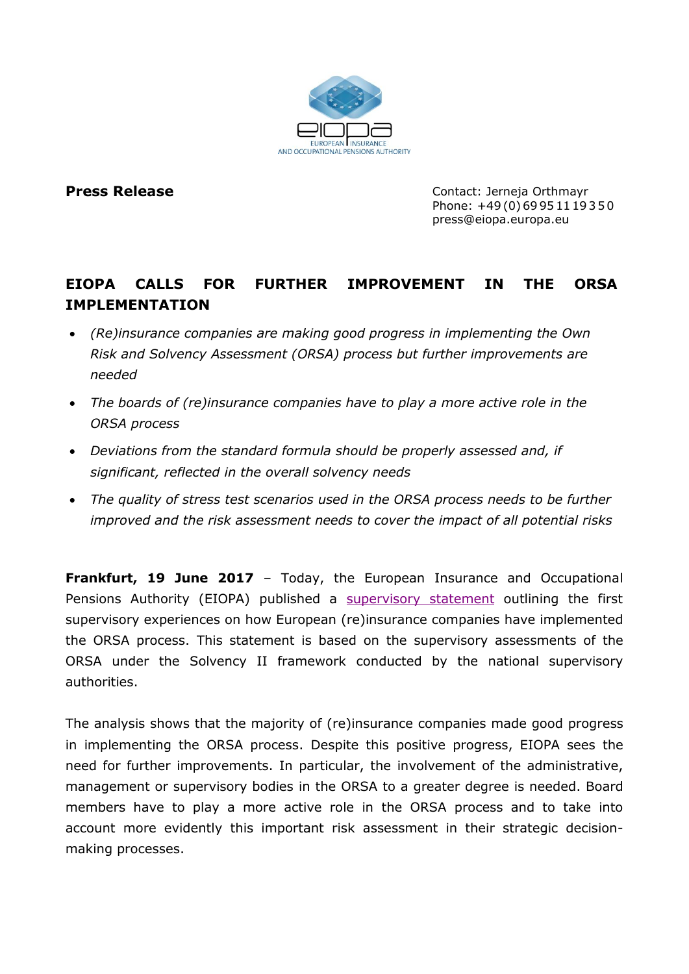

**Press Release Contact: Jerneja Orthmayr** Phone: +49(0)69951119350 press@eiopa.europa.eu

## **EIOPA CALLS FOR FURTHER IMPROVEMENT IN THE ORSA IMPLEMENTATION**

- *(Re)insurance companies are making good progress in implementing the Own Risk and Solvency Assessment (ORSA) process but further improvements are needed*
- *The boards of (re)insurance companies have to play a more active role in the ORSA process*
- *Deviations from the standard formula should be properly assessed and, if significant, reflected in the overall solvency needs*
- *The quality of stress test scenarios used in the ORSA process needs to be further improved and the risk assessment needs to cover the impact of all potential risks*

**Frankfurt, 19 June 2017** – Today, the European Insurance and Occupational Pensions Authority (EIOPA) published a [supervisory statement](https://eiopa.europa.eu/Publications/Supervisory%20Statements/EIOPA-BoS-17-097_ORSA_Supervisory__Statement.pdf) outlining the first supervisory experiences on how European (re)insurance companies have implemented the ORSA process. This statement is based on the supervisory assessments of the ORSA under the Solvency II framework conducted by the national supervisory authorities.

The analysis shows that the majority of (re)insurance companies made good progress in implementing the ORSA process. Despite this positive progress, EIOPA sees the need for further improvements. In particular, the involvement of the administrative, management or supervisory bodies in the ORSA to a greater degree is needed. Board members have to play a more active role in the ORSA process and to take into account more evidently this important risk assessment in their strategic decisionmaking processes.